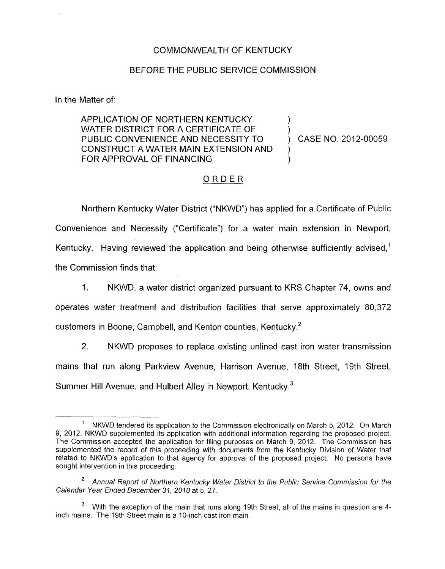## COMMONWEALTH OF KENTUCKY

## BEFORE THE PUBLIC SERVICE COMMISSION

In the Matter of:

## APPLICATION OF NORTHERN KENTUCKY ) WATER DISTRICT FOR A CERTIFICATE OF  $\bigcup_{n=0}^{\infty}$  ) PUBLIC CONVENIENCE AND NECESSITY TO (CASE NO. 2012-00059) CONSTRUCT A WATER MAIN EXTENSION AND ) FOR APPROVAL OF FINANCING

## ORDER

Northern Kentucky Water District ("NKWD") has applied for a Certificate of Public Convenience and Necessity ("Certificate") for a water main extension in Newport, Kentucky. Having reviewed the application and being otherwise sufficiently advised,<sup>1</sup> the Commission finds that:

- 1. NKWD, a water district organized pursuant to KRS Chapter 74, owns and operates water treatment and distribution facilities that serve approximately 80,372 customers in Boone, Campbell, and Kenton counties, Kentucky.2
- 2. NKWD proposes to replace existing unlined cast iron water transmission mains that run along Parkview Avenue, Harrison Avenue, 18th Street, 19th Street, Summer Hill Avenue, and Hulbert Alley in Newport, Kentucky.<sup>3</sup>

NKWD tendered its application to the Commission electronically on March 5, 2012. On March 9, 2012, NKWD supplemented its application with additional information regarding the proposed project. The Commission accepted the application for filing purposes on March 9, 2012 The Commission has supplemented the record of this proceeding with documents from the Kentucky Division of Water that related to NKWD's application to that agency for approval of the proposed project. No persons have sought intervention in this proceeding 1

Annual Report of Northern Kentucky Water District *to* the Public Service Commission for the **2**  Calendar Year Ended December *31, 2010* at 5,27

<sup>&</sup>lt;sup>3</sup> With the exception of the main that runs along 19th Street, all of the mains in question are 4inch mains. The 19th Street main is a 10-inch cast iron main.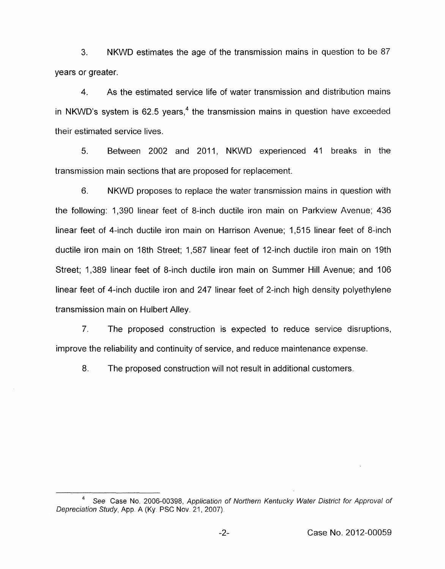3. years or greater. NKWD estimates the age of the transmission mains in question to be 87

4. As the estimated service life of water transmission and distribution mains in NKWD's system is 62.5 years,<sup>4</sup> the transmission mains in question have exceeded their estimated service lives.

5. Between 2002 and 2011, NKWD experienced 41 breaks in the transmission main sections that are proposed for replacement.

6. NKWD proposes to replace the water transmission mains in question with the following: 1,390 linear feet of 8-inch ductile iron main on Parkview Avenue; 436 linear feet of 4-inch ductile iron main on Harrison Avenue; 1,515 linear feet of 8-inch ductile iron main on 18th Street; 1,587 linear feet of 12-inch ductile iron main on 19th Street; 1,389 linear feet of 8-inch ductile iron main on Summer Hill Avenue; and 106 linear feet of 4-inch ductile iron and 247 linear feet of 2-inch high density polyethylene transmission main on Hulbert Alley.

*7.* The proposed construction is expected to reduce service disruptions, improve the reliability and continuity of service, and reduce maintenance expense.

8. The proposed construction will not result in additional customers.

*See* Case No. 2006-00398, *Application of Northern Kentucky Water District for Approval of* **<sup>4</sup>** *Depreciation Study, App. A (Ky. PSC Nov. 21, 2007).*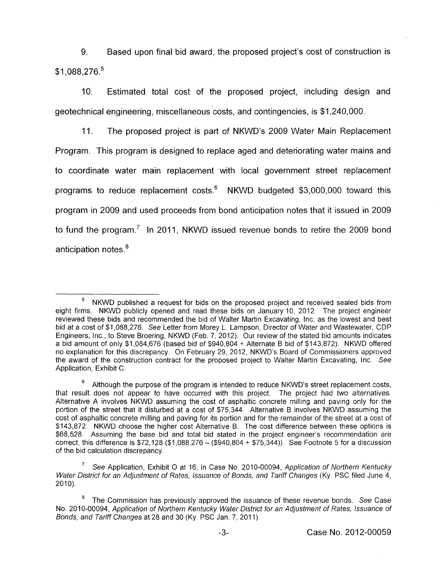9. Based upon final bid award, the proposed project's cost of construction is \$1,088,276.<sup>5</sup>

IO. Estimated total cost of the proposed project, including design and geotechnical engineering, miscellaneous costs, and contingencies, is \$1,240,000.

11. The proposed project is part of NKWD's 2009 Water Main Replacement Program. This program is designed to replace aged and deteriorating water mains and to coordinate water main replacement with local government street replacement programs to reduce replacement costs. $6$  NKWD budgeted \$3,000,000 toward this program in 2009 and used proceeds from bond anticipation notes that it issued in 2009 to fund the program.<sup>7</sup> In 2011, NKWD issued revenue bonds to retire the 2009 bond anticipation notes.<sup>8</sup>

NKWD published a request for bids on the proposed project and received sealed bids from eight firms. NKWD publicly opened and read these bids on January 10, 2012. The project engineer reviewed these bids and recommended the bid of Walter Martin Excavating, Inc. as the lowest and best bid at a cost of \$1,088,276. *See* Letter from Morey L. Lampson, Director of Water and Wastewater, CDP Engineers, Inc., to Steve Broering, NKWD (Feb. 7, 2012). Our review of the stated bid amounts indicates a bid amount of only  $$1,084,676$  (based bid of  $$940,804 +$  Alternate B bid of  $$143,872$ ). NKWD offered no explanation for this discrepancy. On February 29, 2012, NKWD's Board of Commissioners approved the award of the construction contract for the proposed project to Walter Martin Excavating, Inc. *See*  Application, Exhibit *C.*  **5** 

Although the purpose of the program is intended to reduce NKWD's street replacement costs, that result does not appear to have occurred with this project. The project had two alternatives. Alternative A involves NKWD assuming the cost of asphaltic concrete milling and paving only for the portion of the street that it disturbed at a cost of \$75,344. Alternative B involves NKWD assuming the cost of asphaltic concrete milling and paving for its portion and for the remainder of the street at a cost of \$143,872. NKWD choose the higher cost Alternative B. The cost difference between these options is \$68,528. Assuming the base bid and total bid stated in the project engineer's recommendation are correct, this difference is  $$72,128$  (\$1,088,276 - (\$940,804 + \$75,344)). See Footnote 5 for a discussion of the bid calculation discrepancy. **6** 

*See* Application, Exhibit *0* at 16, in Case No. 2010-00094, *Application of Northern Kentucky Water District for an Adjustment of Rates, Issuance of Bonds, and Tariff Changes (Ky. PSC filed June 4, \]* **7**  2010).

The Commission has previously approved the issuance of these revenue bonds. *See* Case No. 2010-00094, Application of Northern Kentucky Water District for an Adjustment of Rates, Issuance of *Bonds, and Tariff Changes at 28 and 30 (Ky. PSC Jan. 7, 2011).* **8**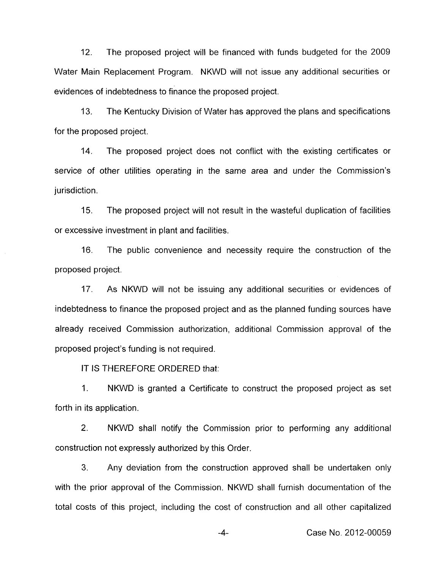12. The proposed project will be financed with funds budgeted for the 2009 Water Main Replacement Program. NKWD will not issue any additional securities or evidences of indebtedness to finance the proposed project.

13. The Kentucky Division of Water has approved the plans and specifications for the proposed project.

14. The proposed project does not conflict with the existing certificates or service of other utilities operating in the same area and under the Commission's jurisdiction.

15. The proposed project will not result in the wasteful duplication of facilities or excessive investment in plant and facilities.

16. proposed project. The public convenience and necessity require the construction of the

17. As NKWD will not be issuing any additional securities or evidences of indebtedness to finance the proposed project and as the planned funding sources have already received Commission authorization, additional Commission approval of the proposed project's funding is not required.

IT IS THEREFORE ORDERED that:

1. NKWD is granted a Certificate to construct the proposed project as set forth in its application.

2. NKWD shall notify the Commission prior to performing any additional construction not expressly authorized by this Order.

**3.** Any deviation from the construction approved shall be undertaken only with the prior approval of the Commission. NKWD shall furnish documentation of the total costs of this project, including the cost of construction and all other capitalized

**-4-** Case No. 2012-00059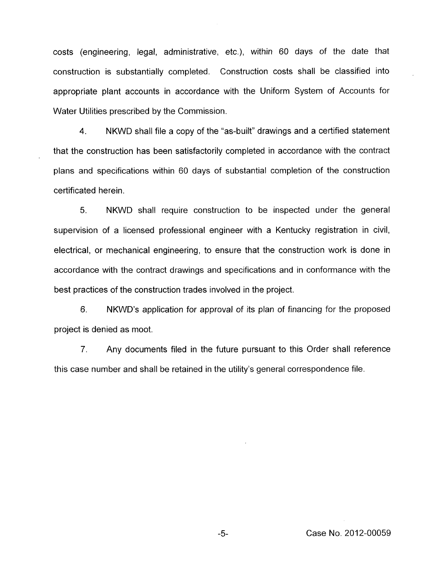costs (engineering, legal, administrative, etc,), within 60 days of the date that construction is substantially completed. Construction costs shall be classified into appropriate plant accounts in accordance with the Uniform System of Accounts for Water Utilities prescribed by the Commission.

**4.** NKWD shall file a copy of the "as-built" drawings and a certified statement that the construction has been satisfactorily completed in accordance with the contract plans and specifications within 60 days of substantial completion of the construction certificated herein.

5. NKWD shall require construction to be inspected under the general supervision of a licensed professional engineer with a Kentucky registration in civil, electrical, or mechanical engineering, to ensure that the construction work is done in accordance with the contract drawings and specifications and in conformance with the best practices of the construction trades involved in the project.

*6.* NKWD's application for approval of its plan of financing for the proposed project is denied as moot.

*7.* Any documents filed in the future pursuant to this Order shall reference this case number and shall be retained in the utility's general correspondence file.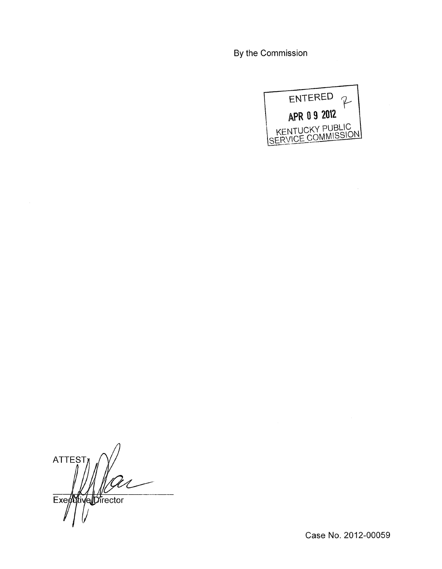By the Commission



 $\bar{\bar{z}}$ 

**ATTEST** Executive Director

Case No. 2012-00059